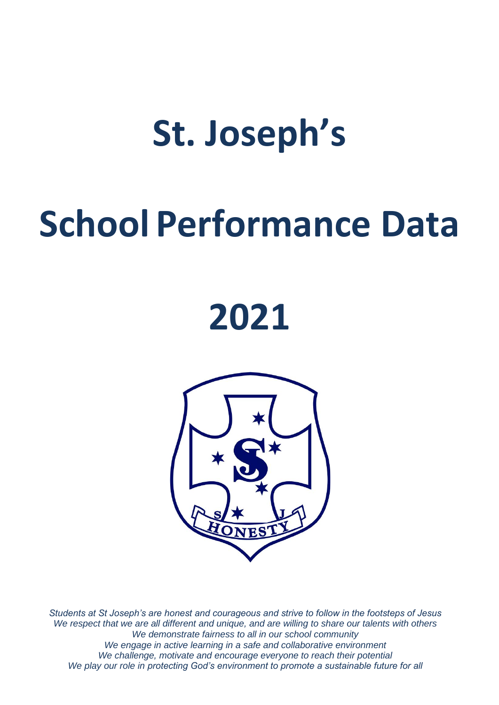# **St. Joseph's**

# **School Performance Data**

# **2021**



*Students at St Joseph's are honest and courageous and strive to follow in the footsteps of Jesus We respect that we are all different and unique, and are willing to share our talents with others We demonstrate fairness to all in our school community We engage in active learning in a safe and collaborative environment We challenge, motivate and encourage everyone to reach their potential We play our role in protecting God's environment to promote a sustainable future for all*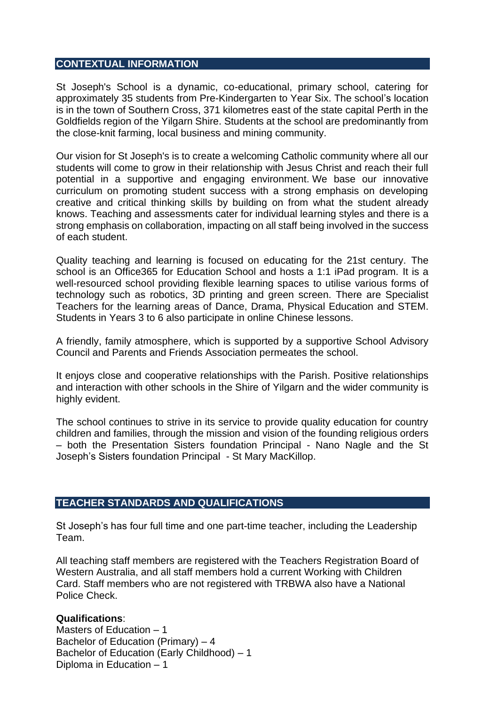#### **CONTEXTUAL INFORMATION**

St Joseph's School is a dynamic, co-educational, primary school, catering for approximately 35 students from Pre-Kindergarten to Year Six. The school's location is in the town of Southern Cross, 371 kilometres east of the state capital Perth in the Goldfields region of the Yilgarn Shire. Students at the school are predominantly from the close-knit farming, local business and mining community.

Our vision for St Joseph's is to create a welcoming Catholic community where all our students will come to grow in their relationship with Jesus Christ and reach their full potential in a supportive and engaging environment. We base our innovative curriculum on promoting student success with a strong emphasis on developing creative and critical thinking skills by building on from what the student already knows. Teaching and assessments cater for individual learning styles and there is a strong emphasis on collaboration, impacting on all staff being involved in the success of each student.

Quality teaching and learning is focused on educating for the 21st century. The school is an Office365 for Education School and hosts a 1:1 iPad program. It is a well-resourced school providing flexible learning spaces to utilise various forms of technology such as robotics, 3D printing and green screen. There are Specialist Teachers for the learning areas of Dance, Drama, Physical Education and STEM. Students in Years 3 to 6 also participate in online Chinese lessons.

A friendly, family atmosphere, which is supported by a supportive School Advisory Council and Parents and Friends Association permeates the school.

It enjoys close and cooperative relationships with the Parish. Positive relationships and interaction with other schools in the Shire of Yilgarn and the wider community is highly evident.

The school continues to strive in its service to provide quality education for country children and families, through the mission and vision of the founding religious orders – both the Presentation Sisters foundation Principal - Nano Nagle and the St Joseph's Sisters foundation Principal - St Mary MacKillop.

## **TEACHER STANDARDS AND QUALIFICATIONS**

St Joseph's has four full time and one part-time teacher, including the Leadership Team.

All teaching staff members are registered with the Teachers Registration Board of Western Australia, and all staff members hold a current Working with Children Card. Staff members who are not registered with TRBWA also have a National Police Check.

#### **Qualifications**:

Masters of Education – 1 Bachelor of Education (Primary)  $-4$ Bachelor of Education (Early Childhood) – 1 Diploma in Education – 1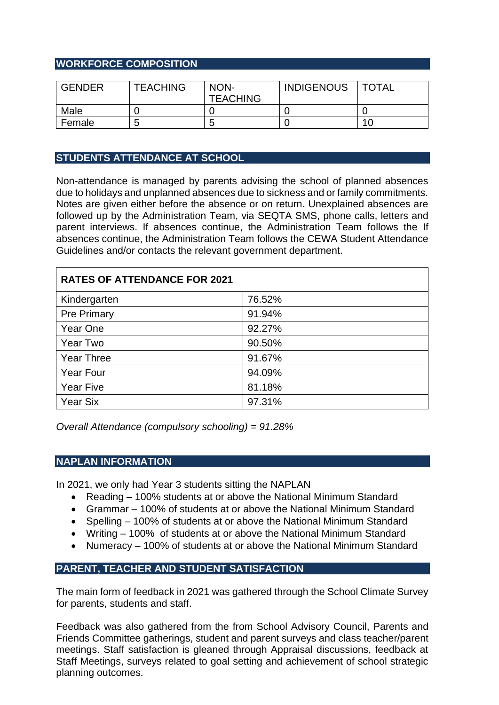# **WORKFORCE COMPOSITION**

| <b>GENDER</b> | <b>TEACHING</b> | NON-<br><b>TEACHING</b> | <b>INDIGENOUS</b> | ' TOTAL |
|---------------|-----------------|-------------------------|-------------------|---------|
| Male          |                 |                         |                   |         |
| Female        | b               |                         |                   | 1 C     |

# **STUDENTS ATTENDANCE AT SCHOOL**

Non-attendance is managed by parents advising the school of planned absences due to holidays and unplanned absences due to sickness and or family commitments. Notes are given either before the absence or on return. Unexplained absences are followed up by the Administration Team, via SEQTA SMS, phone calls, letters and parent interviews. If absences continue, the Administration Team follows the If absences continue, the Administration Team follows the CEWA Student Attendance Guidelines and/or contacts the relevant government department.

| <b>RATES OF ATTENDANCE FOR 2021</b> |        |  |  |
|-------------------------------------|--------|--|--|
| Kindergarten                        | 76.52% |  |  |
| <b>Pre Primary</b>                  | 91.94% |  |  |
| Year One                            | 92.27% |  |  |
| <b>Year Two</b>                     | 90.50% |  |  |
| <b>Year Three</b>                   | 91.67% |  |  |
| <b>Year Four</b>                    | 94.09% |  |  |
| <b>Year Five</b>                    | 81.18% |  |  |
| <b>Year Six</b>                     | 97.31% |  |  |

*Overall Attendance (compulsory schooling) = 91.28%*

## **NAPLAN INFORMATION**

In 2021, we only had Year 3 students sitting the NAPLAN

- Reading 100% students at or above the National Minimum Standard
- Grammar 100% of students at or above the National Minimum Standard
- Spelling 100% of students at or above the National Minimum Standard
- Writing 100% of students at or above the National Minimum Standard
- Numeracy 100% of students at or above the National Minimum Standard

# **PARENT, TEACHER AND STUDENT SATISFACTION**

The main form of feedback in 2021 was gathered through the School Climate Survey for parents, students and staff.

Feedback was also gathered from the from School Advisory Council, Parents and Friends Committee gatherings, student and parent surveys and class teacher/parent meetings. Staff satisfaction is gleaned through Appraisal discussions, feedback at Staff Meetings, surveys related to goal setting and achievement of school strategic planning outcomes.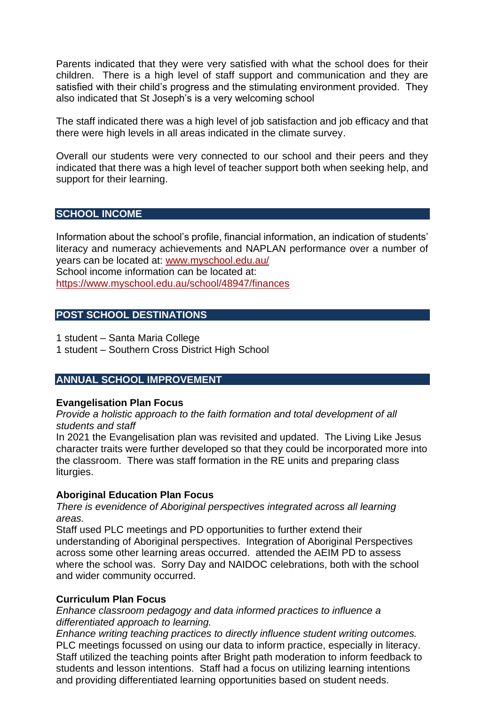Parents indicated that they were very satisfied with what the school does for their children. There is a high level of staff support and communication and they are satisfied with their child's progress and the stimulating environment provided. They also indicated that St Joseph's is a very welcoming school

The staff indicated there was a high level of job satisfaction and job efficacy and that there were high levels in all areas indicated in the climate survey.

Overall our students were very connected to our school and their peers and they indicated that there was a high level of teacher support both when seeking help, and support for their learning.

## **SCHOOL INCOME**

Information about the school's profile, financial information, an indication of students' literacy and numeracy achievements and NAPLAN performance over a number of years can be located at: [www.myschool.edu.au/](http://www.myschool.edu.au/) School income information can be located at: <https://www.myschool.edu.au/school/48947/finances>

# **POST SCHOOL DESTINATIONS**

1 student – Santa Maria College

1 student – Southern Cross District High School

# **ANNUAL SCHOOL IMPROVEMENT**

#### **Evangelisation Plan Focus**

*Provide a holistic approach to the faith formation and total development of all students and staff*

In 2021 the Evangelisation plan was revisited and updated. The Living Like Jesus character traits were further developed so that they could be incorporated more into the classroom. There was staff formation in the RE units and preparing class liturgies.

## **Aboriginal Education Plan Focus**

*There is evenidence of Aboriginal perspectives integrated across all learning areas.*

Staff used PLC meetings and PD opportunities to further extend their understanding of Aboriginal perspectives. Integration of Aboriginal Perspectives across some other learning areas occurred. attended the AEIM PD to assess where the school was. Sorry Day and NAIDOC celebrations, both with the school and wider community occurred.

## **Curriculum Plan Focus**

*Enhance classroom pedagogy and data informed practices to influence a differentiated approach to learning.*

*Enhance writing teaching practices to directly influence student writing outcomes.* PLC meetings focussed on using our data to inform practice, especially in literacy. Staff utilized the teaching points after Bright path moderation to inform feedback to students and lesson intentions. Staff had a focus on utilizing learning intentions and providing differentiated learning opportunities based on student needs.